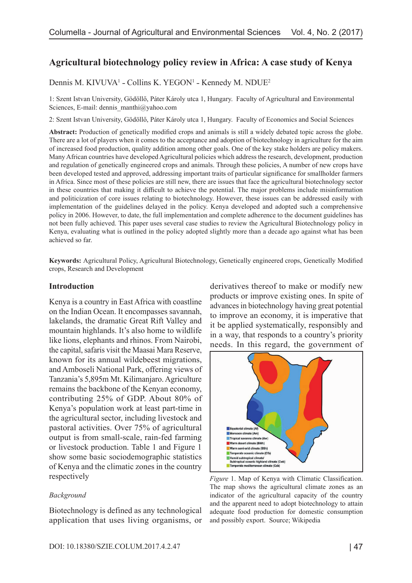# **Agricultural biotechnology policy review in Africa: A case study of Kenya**

### Dennis M. KIVUVA<sup>1</sup> - Collins K. YEGON<sup>1</sup> - Kennedy M. NDUE<sup>2</sup>

1: Szent Istvan University, Gödöllő, Páter Károly utca 1, Hungary. Faculty of Agricultural and Environmental Sciences, E-mail: dennis\_manthi@yahoo.com

2: Szent Istvan University, Gödöllő, Páter Károly utca 1, Hungary. Faculty of Economics and Social Sciences

**Abstract:** Production of genetically modified crops and animals is still a widely debated topic across the globe. There are a lot of players when it comes to the acceptance and adoption of biotechnology in agriculture for the aim of increased food production, quality addition among other goals. One of the key stake holders are policy makers. Many African countries have developed Agricultural policies which address the research, development, production and regulation of genetically engineered crops and animals. Through these policies, A number of new crops have been developed tested and approved, addressing important traits of particular significance for smallholder farmers in Africa. Since most of these policies are still new, there are issues that face the agricultural biotechnology sector in these countries that making it difficult to achieve the potential. The major problems include misinformation and politicization of core issues relating to biotechnology. However, these issues can be addressed easily with implementation of the guidelines delayed in the policy. Kenya developed and adopted such a comprehensive policy in 2006. However, to date, the full implementation and complete adherence to the document guidelines has not been fully achieved. This paper uses several case studies to review the Agricultural Biotechnology policy in Kenya, evaluating what is outlined in the policy adopted slightly more than a decade ago against what has been achieved so far.

**Keywords:** Agricultural Policy, Agricultural Biotechnology, Genetically engineered crops, Genetically Modified crops, Research and Development

#### **Introduction**

Kenya is a country in East Africa with coastline on the Indian Ocean. It encompasses savannah, lakelands, the dramatic Great Rift Valley and mountain highlands. It's also home to wildlife like lions, elephants and rhinos. From Nairobi, the capital, safaris visit the Maasai Mara Reserve, known for its annual wildebeest migrations, and Amboseli National Park, offering views of Tanzania's 5,895m Mt. Kilimanjaro. Agriculture remains the backbone of the Kenyan economy, contributing 25% of GDP. About 80% of Kenya's population work at least part-time in the agricultural sector, including livestock and pastoral activities. Over 75% of agricultural output is from small-scale, rain-fed farming or livestock production. Table 1 and Figure 1 show some basic sociodemographic statistics of Kenya and the climatic zones in the country respectively

#### *Background*

Biotechnology is defined as any technological application that uses living organisms, or derivatives thereof to make or modify new products or improve existing ones. In spite of advances in biotechnology having great potential to improve an economy, it is imperative that it be applied systematically, responsibly and in a way, that responds to a country's priority needs. In this regard, the government of



*Figure* 1. Map of Kenya with Climatic Classification. The map shows the agricultural climate zones as an indicator of the agricultural capacity of the country and the apparent need to adopt biotechnology to attain adequate food production for domestic consumption and possibly export. Source; Wikipedia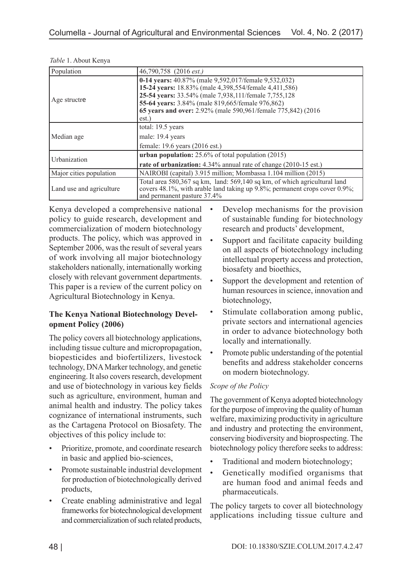| Population                                                                                                                                                                                                         | 46,790,758 (2016 est.)                                                                                                                                                                                                                                                                              |  |  |  |
|--------------------------------------------------------------------------------------------------------------------------------------------------------------------------------------------------------------------|-----------------------------------------------------------------------------------------------------------------------------------------------------------------------------------------------------------------------------------------------------------------------------------------------------|--|--|--|
| Age structre                                                                                                                                                                                                       | 0-14 years: 40.87% (male 9,592,017/female 9,532,032)<br>15-24 years: 18.83% (male 4,398,554/female 4,411,586)<br>25-54 years: 33.54% (male 7,938,111/female 7,755,128)<br>55-64 years: 3.84% (male 819,665/female 976,862)<br>65 years and over: 2.92% (male 590,961/female 775,842) (2016)<br>est. |  |  |  |
| Median age                                                                                                                                                                                                         | total: 19.5 years<br>male: 19.4 years<br>female: 19.6 years (2016 est.)                                                                                                                                                                                                                             |  |  |  |
| Urbanization                                                                                                                                                                                                       | <b>urban population:</b> $25.6\%$ of total population (2015)<br>rate of urbanization: 4.34% annual rate of change (2010-15 est.)                                                                                                                                                                    |  |  |  |
| Major cities population                                                                                                                                                                                            | NAIROBI (capital) 3.915 million; Mombassa 1.104 million (2015)                                                                                                                                                                                                                                      |  |  |  |
| Total area 580,367 sq km, land: 569,140 sq km, of which agricultural land<br>covers 48.1%, with arable land taking up 9.8%; permanent crops cover 0.9%;<br>Land use and agriculture<br>and permanent pasture 37.4% |                                                                                                                                                                                                                                                                                                     |  |  |  |

*Table* 1. About Kenya

Kenya developed a comprehensive national policy to guide research, development and commercialization of modern biotechnology products. The policy, which was approved in September 2006, was the result of several years of work involving all major biotechnology stakeholders nationally, internationally working closely with relevant government departments. This paper is a review of the current policy on Agricultural Biotechnology in Kenya.

## **The Kenya National Biotechnology Development Policy (2006)**

The policy covers all biotechnology applications, including tissue culture and micropropagation, biopesticides and biofertilizers, livestock technology, DNA Marker technology, and genetic engineering. It also covers research, development and use of biotechnology in various key fields such as agriculture, environment, human and animal health and industry. The policy takes cognizance of international instruments, such as the Cartagena Protocol on Biosafety. The objectives of this policy include to:

- Prioritize, promote, and coordinate research in basic and applied bio-sciences,
- Promote sustainable industrial development for production of biotechnologically derived products,
- Create enabling administrative and legal frameworks for biotechnological development and commercialization of such related products,
- Develop mechanisms for the provision of sustainable funding for biotechnology research and products' development,
- Support and facilitate capacity building on all aspects of biotechnology including intellectual property access and protection, biosafety and bioethics,
- Support the development and retention of human resources in science, innovation and biotechnology,
- Stimulate collaboration among public, private sectors and international agencies in order to advance biotechnology both locally and internationally.
- Promote public understanding of the potential benefits and address stakeholder concerns on modern biotechnology.

### *Scope of the Policy*

The government of Kenya adopted biotechnology for the purpose of improving the quality of human welfare, maximizing productivity in agriculture and industry and protecting the environment, conserving biodiversity and bioprospecting. The biotechnology policy therefore seeks to address:

- Traditional and modern biotechnology;
- Genetically modified organisms that are human food and animal feeds and pharmaceuticals.

The policy targets to cover all biotechnology applications including tissue culture and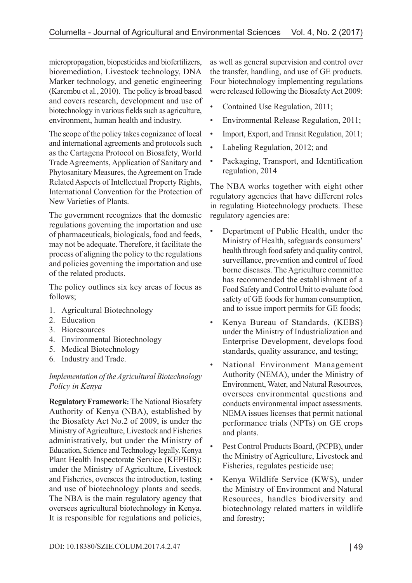micropropagation, biopesticides and biofertilizers, bioremediation, Livestock technology, DNA Marker technology, and genetic engineering (Karembu et al., 2010). The policy is broad based and covers research, development and use of biotechnology in various fields such as agriculture, environment, human health and industry.

The scope of the policy takes cognizance of local and international agreements and protocols such as the Cartagena Protocol on Biosafety, World Trade Agreements, Application of Sanitary and Phytosanitary Measures, the Agreement on Trade Related Aspects of Intellectual Property Rights, International Convention for the Protection of New Varieties of Plants.

The government recognizes that the domestic regulations governing the importation and use of pharmaceuticals, biologicals, food and feeds, may not be adequate. Therefore, it facilitate the process of aligning the policy to the regulations and policies governing the importation and use of the related products.

The policy outlines six key areas of focus as follows;

- 1. Agricultural Biotechnology
- 2. Education
- 3. Bioresources
- 4. Environmental Biotechnology
- 5. Medical Biotechnology
- 6. Industry and Trade.

#### *Implementation of the Agricultural Biotechnology Policy in Kenya*

**Regulatory Framework:** The National Biosafety Authority of Kenya (NBA), established by the Biosafety Act No.2 of 2009, is under the Ministry of Agriculture, Livestock and Fisheries administratively, but under the Ministry of Education, Science and Technology legally. Kenya Plant Health Inspectorate Service (KEPHIS): under the Ministry of Agriculture, Livestock and Fisheries, oversees the introduction, testing and use of biotechnology plants and seeds. The NBA is the main regulatory agency that oversees agricultural biotechnology in Kenya. It is responsible for regulations and policies,

as well as general supervision and control over the transfer, handling, and use of GE products. Four biotechnology implementing regulations were released following the Biosafety Act 2009:

- Contained Use Regulation, 2011;
- Environmental Release Regulation, 2011;
- Import, Export, and Transit Regulation, 2011;
- Labeling Regulation, 2012; and
- Packaging, Transport, and Identification regulation, 2014

The NBA works together with eight other regulatory agencies that have different roles in regulating Biotechnology products. These regulatory agencies are:

- Department of Public Health, under the Ministry of Health, safeguards consumers' health through food safety and quality control, surveillance, prevention and control of food borne diseases. The Agriculture committee has recommended the establishment of a Food Safety and Control Unit to evaluate food safety of GE foods for human consumption, and to issue import permits for GE foods;
- Kenya Bureau of Standards, (KEBS) under the Ministry of Industrialization and Enterprise Development, develops food standards, quality assurance, and testing;
- National Environment Management Authority (NEMA), under the Ministry of Environment, Water, and Natural Resources, oversees environmental questions and conducts environmental impact assessments. NEMA issues licenses that permit national performance trials (NPTs) on GE crops and plants.
- Pest Control Products Board, (PCPB), under the Ministry of Agriculture, Livestock and Fisheries, regulates pesticide use;
- Kenya Wildlife Service (KWS), under the Ministry of Environment and Natural Resources, handles biodiversity and biotechnology related matters in wildlife and forestry;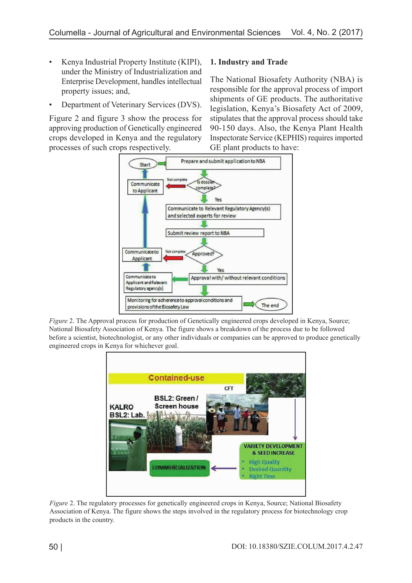- Kenya Industrial Property Institute (KIPI), under the Ministry of Industrialization and Enterprise Development, handles intellectual property issues; and,
- Department of Veterinary Services (DVS).

Figure 2 and figure 3 show the process for approving production of Genetically engineered crops developed in Kenya and the regulatory processes of such crops respectively.

## **1. Industry and Trade**

The National Biosafety Authority (NBA) is responsible for the approval process of import shipments of GE products. The authoritative legislation, Kenya's Biosafety Act of 2009, stipulates that the approval process should take 90-150 days. Also, the Kenya Plant Health Inspectorate Service (KEPHIS) requires imported GE plant products to have:



*Figure 2.* The Approval process for production of Genetically engineered crops developed in Kenya, Source; National Biosafety Association of Kenya. The figure shows a breakdown of the process due to be followed before a scientist, biotechnologist, or any other individuals or companies can be approved to produce genetically engineered crops in Kenya for whichever goal.



*Figure* 2. The regulatory processes for genetically engineered crops in Kenya, Source; National Biosafety Association of Kenya. The figure shows the steps involved in the regulatory process for biotechnology crop products in the country.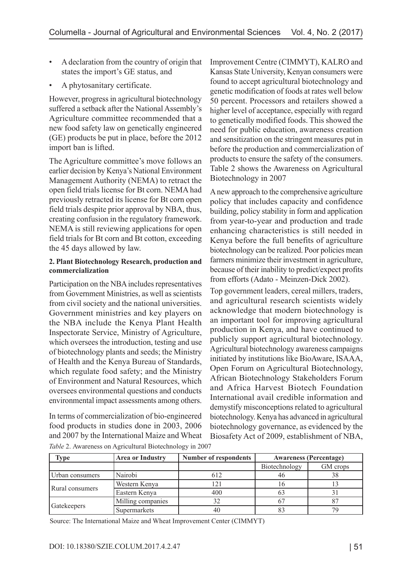- A declaration from the country of origin that states the import's GE status, and
- A phytosanitary certificate.

However, progress in agricultural biotechnology suffered a setback after the National Assembly's Agriculture committee recommended that a new food safety law on genetically engineered (GE) products be put in place, before the 2012 import ban is lifted.

The Agriculture committee's move follows an earlier decision by Kenya's National Environment Management Authority (NEMA) to retract the open field trials license for Bt corn. NEMA had previously retracted its license for Bt corn open field trials despite prior approval by NBA, thus, creating confusion in the regulatory framework. NEMA is still reviewing applications for open field trials for Bt corn and Bt cotton, exceeding the 45 days allowed by law.

#### **2. Plant Biotechnology Research, production and commercialization**

Participation on the NBA includes representatives from Government Ministries, as well as scientists from civil society and the national universities. Government ministries and key players on the NBA include the Kenya Plant Health Inspectorate Service, Ministry of Agriculture, which oversees the introduction, testing and use of biotechnology plants and seeds; the Ministry of Health and the Kenya Bureau of Standards, which regulate food safety; and the Ministry of Environment and Natural Resources, which oversees environmental questions and conducts environmental impact assessments among others.

In terms of commercialization of bio-engineered food products in studies done in 2003, 2006 and 2007 by the International Maize and Wheat *Table* 2. Awareness on Agricultural Biotechnology in 2007

Improvement Centre (CIMMYT), KALRO and Kansas State University, Kenyan consumers were found to accept agricultural biotechnology and genetic modification of foods at rates well below 50 percent. Processors and retailers showed a higher level of acceptance, especially with regard to genetically modified foods. This showed the need for public education, awareness creation and sensitization on the stringent measures put in before the production and commercialization of products to ensure the safety of the consumers. Table 2 shows the Awareness on Agricultural Biotechnology in 2007

A new approach to the comprehensive agriculture policy that includes capacity and confidence building, policy stability in form and application from year-to-year and production and trade enhancing characteristics is still needed in Kenya before the full benefits of agriculture biotechnology can be realized. Poor policies mean farmers minimize their investment in agriculture, because of their inability to predict/expect profits from efforts (Adato - Meinzen-Dick 2002).

Top government leaders, cereal millers, traders, and agricultural research scientists widely acknowledge that modern biotechnology is an important tool for improving agricultural production in Kenya, and have continued to publicly support agricultural biotechnology. Agricultural biotechnology awareness campaigns initiated by institutions like BioAware, ISAAA, Open Forum on Agricultural Biotechnology, African Biotechnology Stakeholders Forum and Africa Harvest Biotech Foundation International avail credible information and demystify misconceptions related to agricultural biotechnology. Kenya has advanced in agricultural biotechnology governance, as evidenced by the Biosafety Act of 2009, establishment of NBA,

| Type            | <b>Area or Industry</b> | <b>Number of respondents</b> | <b>Awareness (Percentage)</b> |          |
|-----------------|-------------------------|------------------------------|-------------------------------|----------|
|                 |                         |                              | Biotechnology                 | GM crops |
| Urban consumers | Nairobi                 | 612                          | 46                            | 38       |
| Rural consumers | Western Kenya           | 121                          |                               |          |
|                 | Eastern Kenya           | 400                          |                               |          |
| Gatekeepers     | Milling companies       |                              |                               |          |
|                 | Supermarkets            | 40                           |                               | 79       |

Source: The International Maize and Wheat Improvement Center (CIMMYT)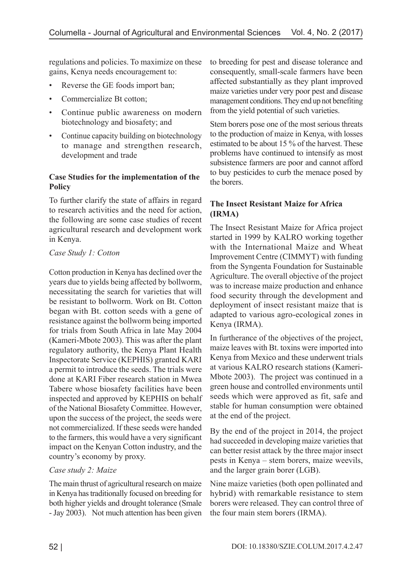regulations and policies. To maximize on these gains, Kenya needs encouragement to:

- Reverse the GE foods import ban;
- Commercialize Bt cotton;
- Continue public awareness on modern biotechnology and biosafety; and
- Continue capacity building on biotechnology to manage and strengthen research, development and trade

### **Case Studies for the implementation of the Policy**

To further clarify the state of affairs in regard to research activities and the need for action, the following are some case studies of recent agricultural research and development work in Kenya.

### *Case Study 1: Cotton*

Cotton production in Kenya has declined over the years due to yields being affected by bollworm, necessitating the search for varieties that will be resistant to bollworm. Work on Bt. Cotton began with Bt. cotton seeds with a gene of resistance against the bollworm being imported for trials from South Africa in late May 2004 (Kameri-Mbote 2003). This was after the plant regulatory authority, the Kenya Plant Health Inspectorate Service (KEPHIS) granted KARI a permit to introduce the seeds. The trials were done at KARI Fiber research station in Mwea Tabere whose biosafety facilities have been inspected and approved by KEPHIS on behalf of the National Biosafety Committee. However, upon the success of the project, the seeds were not commercialized. If these seeds were handed to the farmers, this would have a very significant impact on the Kenyan Cotton industry, and the country's economy by proxy.

## *Case study 2: Maize*

The main thrust of agricultural research on maize in Kenya has traditionally focused on breeding for both higher yields and drought tolerance (Smale - Jay 2003). Not much attention has been given to breeding for pest and disease tolerance and consequently, small-scale farmers have been affected substantially as they plant improved maize varieties under very poor pest and disease management conditions. They end up not benefiting from the yield potential of such varieties.

Stem borers pose one of the most serious threats to the production of maize in Kenya, with losses estimated to be about 15 % of the harvest. These problems have continued to intensify as most subsistence farmers are poor and cannot afford to buy pesticides to curb the menace posed by the borers.

### **The Insect Resistant Maize for Africa (IRMA)**

The Insect Resistant Maize for Africa project started in 1999 by KALRO working together with the International Maize and Wheat Improvement Centre (CIMMYT) with funding from the Syngenta Foundation for Sustainable Agriculture. The overall objective of the project was to increase maize production and enhance food security through the development and deployment of insect resistant maize that is adapted to various agro-ecological zones in Kenya (IRMA).

In furtherance of the objectives of the project, maize leaves with Bt. toxins were imported into Kenya from Mexico and these underwent trials at various KALRO research stations (Kameri-Mbote 2003). The project was continued in a green house and controlled environments until seeds which were approved as fit, safe and stable for human consumption were obtained at the end of the project.

By the end of the project in 2014, the project had succeeded in developing maize varieties that can better resist attack by the three major insect pests in Kenya – stem borers, maize weevils, and the larger grain borer (LGB).

Nine maize varieties (both open pollinated and hybrid) with remarkable resistance to stem borers were released. They can control three of the four main stem borers (IRMA).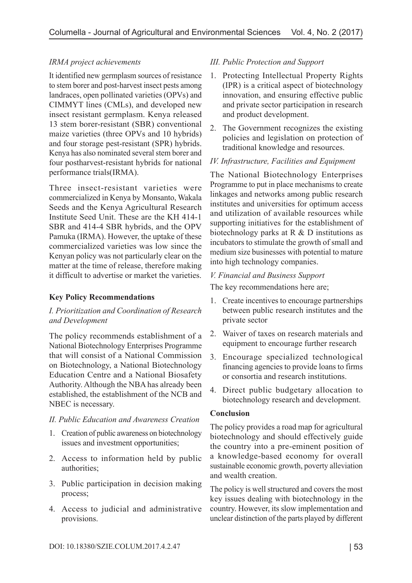### *IRMA project achievements*

It identified new germplasm sources of resistance to stem borer and post-harvest insect pests among landraces, open pollinated varieties (OPVs) and CIMMYT lines (CMLs), and developed new insect resistant germplasm. Kenya released 13 stem borer-resistant (SBR) conventional maize varieties (three OPVs and 10 hybrids) and four storage pest-resistant (SPR) hybrids. Kenya has also nominated several stem borer and four postharvest-resistant hybrids for national performance trials(IRMA).

Three insect-resistant varieties were commercialized in Kenya by Monsanto, Wakala Seeds and the Kenya Agricultural Research Institute Seed Unit. These are the KH 414-1 SBR and 414-4 SBR hybrids, and the OPV Pamuka (IRMA). However, the uptake of these commercialized varieties was low since the Kenyan policy was not particularly clear on the matter at the time of release, therefore making it difficult to advertise or market the varieties.

### **Key Policy Recommendations**

### *I. Prioritization and Coordination of Research and Development*

The policy recommends establishment of a National Biotechnology Enterprises Programme that will consist of a National Commission on Biotechnology, a National Biotechnology Education Centre and a National Biosafety Authority. Although the NBA has already been established, the establishment of the NCB and NBEC is necessary.

### *II. Public Education and Awareness Creation*

- 1. Creation of public awareness on biotechnology issues and investment opportunities;
- 2. Access to information held by public authorities;
- 3. Public participation in decision making process;
- 4. Access to judicial and administrative provisions.

### *III. Public Protection and Support*

- 1. Protecting Intellectual Property Rights (IPR) is a critical aspect of biotechnology innovation, and ensuring effective public and private sector participation in research and product development.
- 2. The Government recognizes the existing policies and legislation on protection of traditional knowledge and resources.

### *IV. Infrastructure, Facilities and Equipment*

The National Biotechnology Enterprises Programme to put in place mechanisms to create linkages and networks among public research institutes and universities for optimum access and utilization of available resources while supporting initiatives for the establishment of biotechnology parks at R & D institutions as incubators to stimulate the growth of small and medium size businesses with potential to mature into high technology companies.

### *V. Financial and Business Support*

The key recommendations here are;

- 1. Create incentives to encourage partnerships between public research institutes and the private sector
- 2. Waiver of taxes on research materials and equipment to encourage further research
- 3. Encourage specialized technological financing agencies to provide loans to firms or consortia and research institutions.
- 4. Direct public budgetary allocation to biotechnology research and development.

### **Conclusion**

The policy provides a road map for agricultural biotechnology and should effectively guide the country into a pre-eminent position of a knowledge-based economy for overall sustainable economic growth, poverty alleviation and wealth creation.

The policy is well structured and covers the most key issues dealing with biotechnology in the country. However, its slow implementation and unclear distinction of the parts played by different